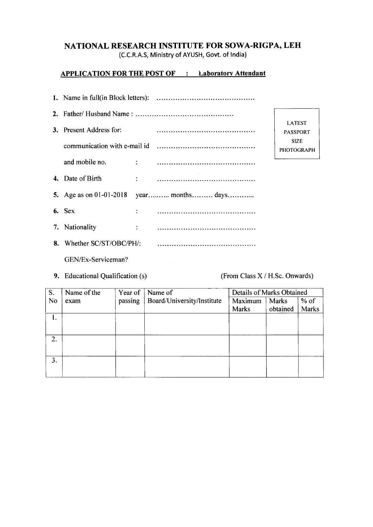# **NATIONAL RESEARCH INSTITUTE FOR SOWA-RIGPA, LEH**

(C.C.R.A.S, Ministry of AYUSH, Govt, of India)

### **APPLICATION FOR THE POST OF : Laboratory Attendant**

| 3. Present Address for:          |  |                                          | <b>LATEST</b><br><b>PASSPORT</b> |  |
|----------------------------------|--|------------------------------------------|----------------------------------|--|
|                                  |  |                                          | <b>SIZE</b><br><b>PHOTOGRAPH</b> |  |
| and mobile no.                   |  |                                          |                                  |  |
| 4. Date of Birth                 |  |                                          |                                  |  |
|                                  |  | 5. Age as on 01-01-2018 year months days |                                  |  |
| $6.$ Sex                         |  |                                          |                                  |  |
| 7. Nationality                   |  |                                          |                                  |  |
| <b>8.</b> Whether SC/ST/OBC/PH/: |  |                                          |                                  |  |
| GEN/Ex-Serviceman?               |  |                                          |                                  |  |

9. Educational Qualification (s) (From Class X / H.Sc. Onwards)

| S.        | Name of the | Year of | Name of                    | Details of Marks Obtained |          |        |
|-----------|-------------|---------|----------------------------|---------------------------|----------|--------|
| <b>No</b> | exam        | passing | Board/University/Institute | Maximum                   | Marks    | $%$ of |
|           |             |         |                            | <b>Marks</b>              | obtained | Marks  |
| 1.        |             |         |                            |                           |          |        |
|           |             |         |                            |                           |          |        |
|           |             |         |                            |                           |          |        |
| 2.        |             |         |                            |                           |          |        |
|           |             |         |                            |                           |          |        |
| 3.        |             |         |                            |                           |          |        |
|           |             |         |                            |                           |          |        |
|           |             |         |                            |                           |          |        |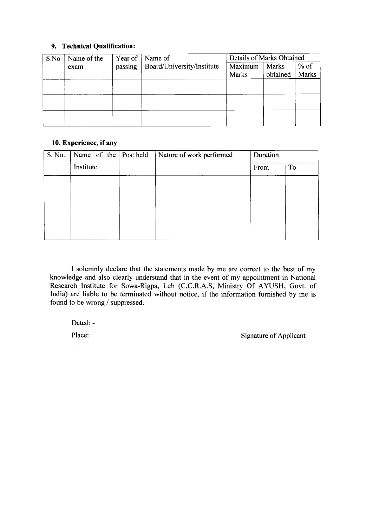### **9. Technical Qualification:**

| S.No | Name of the | Year of | Name of                    | Details of Marks Obtained |              |              |
|------|-------------|---------|----------------------------|---------------------------|--------------|--------------|
|      | exam        | passing | Board/University/Institute | Maximum                   | <b>Marks</b> | $%$ of       |
|      |             |         |                            | <b>Marks</b>              | obtained     | <b>Marks</b> |
|      |             |         |                            |                           |              |              |
|      |             |         |                            |                           |              |              |
|      |             |         |                            |                           |              |              |
|      |             |         |                            |                           |              |              |
|      |             |         |                            |                           |              |              |
|      |             |         |                            |                           |              |              |

#### **10. Experience, if any**

| S. No. | Name of the $\vert$ Post held | Nature of work performed | Duration |    |
|--------|-------------------------------|--------------------------|----------|----|
|        | Institute                     |                          | From     | To |
|        |                               |                          |          |    |
|        |                               |                          |          |    |
|        |                               |                          |          |    |
|        |                               |                          |          |    |
|        |                               |                          |          |    |

I solemnly declare that the statements made by me are correct to the best of my knowledge and also clearly understand that in the event of my appointment in National Research Institute for Sowa-Rigpa, Leh (C.C.R.A.S, Ministry Of AYUSH, Govt. of India) are liable to be terminated without notice, if the information furnished by me is found to be wrong / suppressed.

Dated: -

Place: Signature of Applicant